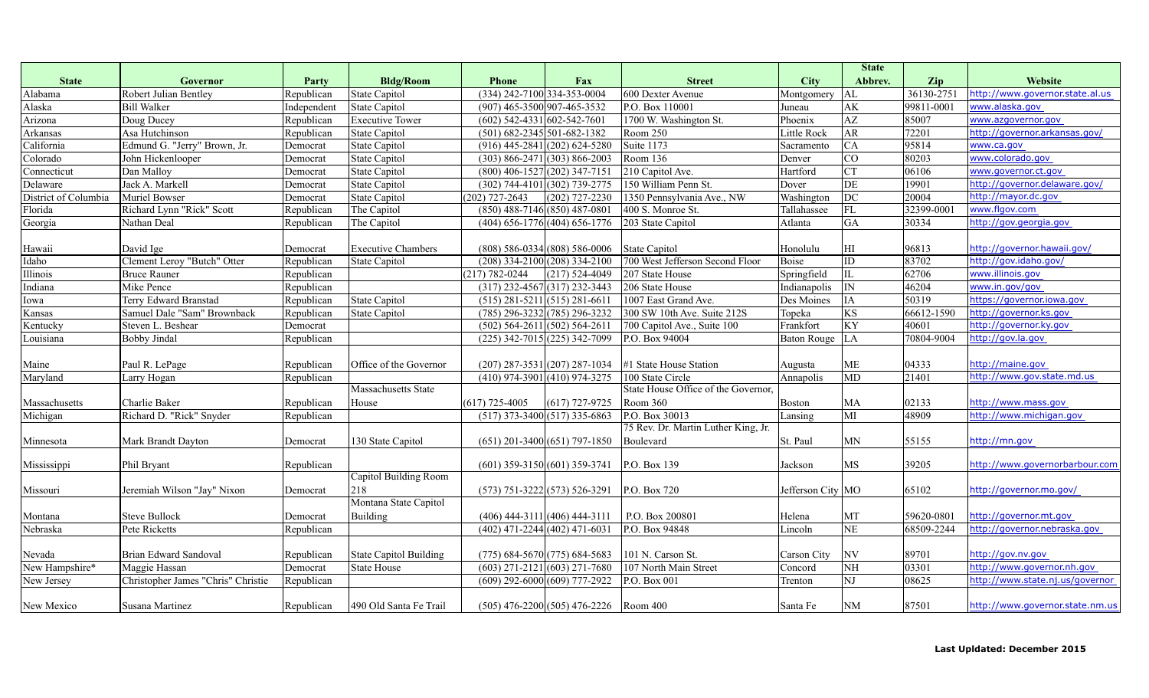|                      |                                    |             |                               |                                     |                                            |                                     |                    | <b>State</b>            |                          |                                 |
|----------------------|------------------------------------|-------------|-------------------------------|-------------------------------------|--------------------------------------------|-------------------------------------|--------------------|-------------------------|--------------------------|---------------------------------|
| <b>State</b>         | Governor                           | Party       | <b>Bldg/Room</b>              | <b>Phone</b>                        | Fax                                        | <b>Street</b>                       | <b>City</b>        | Abbrev.                 | Zip                      | Website                         |
| Alabama              | Robert Julian Bentley              | Republican  | <b>State Capitol</b>          | (334) 242-7100 334-353-0004         |                                            | 600 Dexter Avenue                   | Montgomery         | AL                      | 36130-2751               | http://www.governor.state.al.us |
| Alaska               | <b>Bill Walker</b>                 | Independent | <b>State Capitol</b>          | (907) 465-3500 907-465-3532         |                                            | P.O. Box 110001                     | Juneau             | AK                      | $\overline{99811}$ -0001 | www.alaska.gov                  |
| Arizona              | Doug Ducey                         | Republican  | <b>Executive Tower</b>        | $(602)$ 542-4331 602-542-7601       |                                            | 1700 W. Washington St.              | Phoenix            | $\overline{AZ}$         | 85007                    | www.azgovernor.gov              |
| Arkansas             | Asa Hutchinson                     | Republican  | <b>State Capitol</b>          | $(501) 682 - 2345 501 - 682 - 1382$ |                                            | Room 250                            | Little Rock        | AR                      | 72201                    | http://governor.arkansas.gov/   |
| California           | Edmund G. "Jerry" Brown, Jr.       | Democrat    | <b>State Capitol</b>          |                                     | $(916)$ 445-2841 (202) 624-5280            | Suite 1173                          | Sacramento         | CA                      | 95814                    | www.ca.gov                      |
| Colorado             | John Hickenlooper                  | Democrat    | <b>State Capitol</b>          |                                     | $(303)$ 866-2471 $(303)$ 866-2003          | Room 136                            | Denver             | CO                      | 80203                    | www.colorado.gov                |
| Connecticut          | Dan Malloy                         | Democrat    | <b>State Capitol</b>          | $(800)$ 406-1527 $(202)$ 347-7151   |                                            | 210 Capitol Ave.                    | Hartford           | <b>CT</b>               | 06106                    | www.governor.ct.gov             |
| Delaware             | Jack A. Markell                    | Democrat    | <b>State Capitol</b>          |                                     | (302) 744-4101 (302) 739-2775              | 150 William Penn St.                | Dover              | DE                      | 19901                    | http://governor.delaware.gov/   |
| District of Columbia | Muriel Bowser                      | Democrat    | <b>State Capitol</b>          | $(202)$ 727-2643                    | $(202)$ 727-2230                           | 1350 Pennsylvania Ave., NW          | Washington         | DC                      | 20004                    | http://mayor.dc.gov             |
| Florida              | Richard Lynn "Rick" Scott          | Republican  | The Capitol                   | $(850)$ 488-7146 (850) 487-0801     |                                            | 400 S. Monroe St.                   | Tallahassee        | ${\rm FL}$              | 32399-0001               | www.flgov.com                   |
| Georgia              | Nathan Deal                        | Republican  | The Capitol                   |                                     | $(404)$ 656-1776 (404) 656-1776            | 203 State Capitol                   | Atlanta            | <b>GA</b>               | 30334                    | http://gov.georgia.gov          |
|                      |                                    |             |                               |                                     |                                            |                                     |                    |                         |                          |                                 |
| Hawaii               | David Ige                          | Democrat    | <b>Executive Chambers</b>     |                                     | $(808)$ 586-0334 (808) 586-0006            | <b>State Capitol</b>                | Honolulu           | HI                      | 96813                    | http://governor.hawaii.gov/     |
| Idaho                | Clement Leroy "Butch" Otter        | Republican  | <b>State Capitol</b>          |                                     | $(208)$ 334-2100 (208) 334-2100            | 700 West Jefferson Second Floor     | <b>Boise</b>       | ID                      | 83702                    | http://gov.idaho.gov/           |
| Illinois             | <b>Bruce Rauner</b>                | Republican  |                               | $(217) 782 - 0244$                  | $(217) 524 - 4049$                         | 207 State House                     | Springfield        | $\rm IL$                | 62706                    | www.illinois.gov                |
| Indiana              | Mike Pence                         | Republican  |                               | $(317)$ 232-4567 $(317)$ 232-3443   |                                            | 206 State House                     | Indianapolis       | $\overline{\mathbb{N}}$ | 46204                    | www.in.gov/gov                  |
| Iowa                 | Terry Edward Branstad              | Republican  | <b>State Capitol</b>          | $(515)$ 281-5211 (515) 281-6611     |                                            | 1007 East Grand Ave.                | Des Moines         | IA                      | 50319                    | https://governor.iowa.gov       |
| Kansas               | Samuel Dale "Sam" Brownback        | Republican  | <b>State Capitol</b>          |                                     | $(785) 296 - 3232 (785) 296 - 3232$        | 300 SW 10th Ave. Suite 212S         | Topeka             | KS                      | 66612-1590               | http://governor.ks.gov          |
| Kentucky             | Steven L. Beshear                  | Democrat    |                               | $(502)$ 564-2611 $(502)$ 564-2611   |                                            | 700 Capitol Ave., Suite 100         | Frankfort          | KY                      | 40601                    | http://governor.ky.gov          |
| Louisiana            | <b>Bobby Jindal</b>                | Republican  |                               |                                     | $(225)$ 342-7015 (225) 342-7099            | P.O. Box 94004                      | <b>Baton Rouge</b> | ${\rm LA}$              | 70804-9004               | http://gov.la.gov               |
|                      |                                    |             |                               |                                     |                                            |                                     |                    |                         |                          |                                 |
| Maine                | Paul R. LePage                     | Republican  | Office of the Governor        |                                     | $(207)$ 287-3531 (207) 287-1034            | #1 State House Station              | Augusta            | ME                      | 04333                    | http://maine.gov                |
| Maryland             | Larry Hogan                        | Republican  |                               | $(410)$ 974-3901 (410) 974-3275     |                                            | 100 State Circle                    | Annapolis          | MD                      | 21401                    | http://www.gov.state.md.us      |
|                      |                                    |             | Massachusetts State           |                                     |                                            | State House Office of the Governor, |                    |                         |                          |                                 |
| Massachusetts        | Charlie Baker                      | Republican  | House                         | $(617)$ 725-4005                    | $(617)$ 727-9725                           | Room 360                            | <b>Boston</b>      | MA                      | 02133                    | http://www.mass.gov             |
| Michigan             | Richard D. "Rick" Snyder           | Republican  |                               |                                     | $(517)$ 373-3400 (517) 335-6863            | P.O. Box 30013                      | Lansing            | $\overline{\text{MI}}$  | 48909                    | http://www.michigan.gov         |
|                      |                                    |             |                               |                                     |                                            | 75 Rev. Dr. Martin Luther King, Jr. |                    |                         |                          |                                 |
| Minnesota            | Mark Brandt Dayton                 | Democrat    | 130 State Capitol             |                                     | $(651)$ 201-3400 (651) 797-1850            | Boulevard                           | St. Paul           | MΝ                      | 55155                    | http://mn.gov                   |
|                      |                                    |             |                               |                                     |                                            |                                     |                    |                         |                          |                                 |
| Mississippi          | Phil Bryant                        | Republican  |                               | $(601)$ 359-3150 $(601)$ 359-3741   |                                            | P.O. Box 139                        | Jackson            | MS                      | 39205                    | http://www.governorbarbour.com  |
|                      |                                    |             | Capitol Building Room         |                                     |                                            |                                     |                    |                         |                          |                                 |
| Missouri             | Jeremiah Wilson "Jay" Nixon        | Democrat    | 218                           |                                     | $(573) 751 - 3222$ (573) 526-3291          | P.O. Box 720                        | Jefferson City MO  |                         | 65102                    | http://governor.mo.gov/         |
|                      |                                    |             | Montana State Capitol         |                                     |                                            |                                     |                    |                         |                          |                                 |
| Montana              | <b>Steve Bullock</b>               | Democrat    | <b>Building</b>               | $(406)$ 444-3111 (406) 444-3111     |                                            | P.O. Box 200801                     | Helena             | MT                      | 59620-0801               | http://governor.mt.gov          |
| Nebraska             | Pete Ricketts                      | Republican  |                               | $(402)$ 471-2244 $(402)$ 471-6031   |                                            | P.O. Box 94848                      | Lincoln            | $\overline{\text{NE}}$  | 68509-2244               | http://governor.nebraska.gov    |
|                      |                                    |             |                               |                                     |                                            |                                     |                    |                         |                          |                                 |
| Nevada               | Brian Edward Sandoval              | Republican  | <b>State Capitol Building</b> |                                     | $(775)$ 684-5670 (775) 684-5683            | 101 N. Carson St                    | Carson City        | NV                      | 89701                    | http://gov.nv.gov               |
| New Hampshire*       | Maggie Hassan                      | Democrat    | <b>State House</b>            | $(603)$ 271-2121 $(603)$ 271-7680   |                                            | 107 North Main Street               | Concord            | <b>NH</b>               | 03301                    | http://www.governor.nh.gov      |
| New Jersey           | Christopher James "Chris" Christie | Republican  |                               |                                     | $(609)$ 292-6000 $(609)$ 777-2922          | P.O. Box 001                        | Trenton            | NJ                      | 08625                    | http://www.state.nj.us/governor |
|                      |                                    |             |                               |                                     |                                            |                                     |                    |                         |                          |                                 |
| New Mexico           | Susana Martinez                    | Republican  | 490 Old Santa Fe Trail        |                                     | $(505)$ 476-2200 $(505)$ 476-2226 Room 400 |                                     | Santa Fe           | <b>NM</b>               | 87501                    | http://www.governor.state.nm.us |